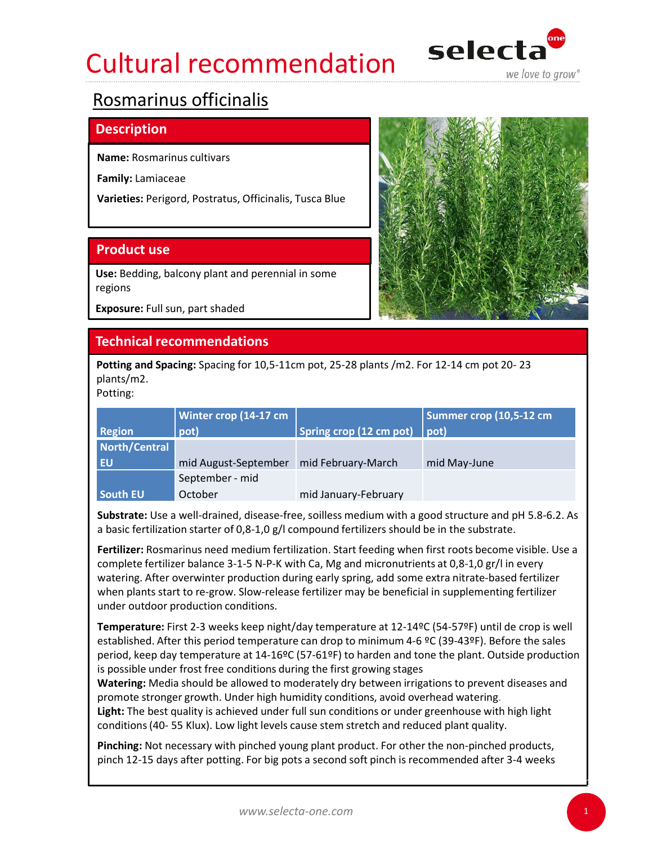# Cultural recommendation selecta Cultural recommendation<br>
Nosmarinus officinalis<br>
Description<br>
Name: Rosmarinus cultivars<br>
Family: Lamiaceae<br>
Varieties: Perigord, Postratus, Officinalis, Tusca Blue<br>
Product use<br>
Use: Bedding, balcony plant and perennial i



# Rosmarinus officinalis

## **Description**

| Name: Rosmarinus cultivars      |                                                              |                                                                                                 |                                                                                                                                                                                                           |  |
|---------------------------------|--------------------------------------------------------------|-------------------------------------------------------------------------------------------------|-----------------------------------------------------------------------------------------------------------------------------------------------------------------------------------------------------------|--|
| <b>Family: Lamiaceae</b>        |                                                              |                                                                                                 |                                                                                                                                                                                                           |  |
|                                 | Varieties: Perigord, Postratus, Officinalis, Tusca Blue      |                                                                                                 |                                                                                                                                                                                                           |  |
| <b>Product use</b>              |                                                              |                                                                                                 |                                                                                                                                                                                                           |  |
| regions                         | Use: Bedding, balcony plant and perennial in some            |                                                                                                 |                                                                                                                                                                                                           |  |
| Exposure: Full sun, part shaded |                                                              |                                                                                                 |                                                                                                                                                                                                           |  |
|                                 | <b>Technical recommendations</b>                             |                                                                                                 |                                                                                                                                                                                                           |  |
| plants/m2.<br>Potting:          |                                                              | Potting and Spacing: Spacing for 10,5-11cm pot, 25-28 plants /m2. For 12-14 cm pot 20-23        |                                                                                                                                                                                                           |  |
|                                 | Winter crop (14-17 cm                                        |                                                                                                 | Summer crop (10,5-12 cm                                                                                                                                                                                   |  |
| <b>Region</b>                   | pot)                                                         | Spring crop (12 cm pot) $ $ pot)                                                                |                                                                                                                                                                                                           |  |
| North/Central                   |                                                              |                                                                                                 |                                                                                                                                                                                                           |  |
| <b>EU</b>                       | mid August-September   mid February-March<br>September - mid |                                                                                                 | mid May-June                                                                                                                                                                                              |  |
| <b>South EU</b>                 | October                                                      | mid January-February                                                                            |                                                                                                                                                                                                           |  |
|                                 |                                                              | a basic fertilization starter of $0.8-1.0$ g/l compound fertilizers should be in the substrate. | Substrate: Use a well-drained, disease-free, soilless medium with a good structure and pH 5.8-6.2. As                                                                                                     |  |
|                                 |                                                              |                                                                                                 | Fertilizer: Rosmarinus need medium fertilization. Start feeding when first roots become visible. Use a<br>complete fertilizer balance 3-1-5 N-P-K with Ca, Mg and micronutrients at 0,8-1,0 gr/l in every |  |

Fertilizer: Rosmarinus need medium fertilization. Start feeding when first roots become visible. Use a complete fertilizer balance 3-1-5 N-P-K with Ca, Mg and micronutrients at 0,8-1,0 gr/l in every watering. After overwinter production during early spring, add some extra nitrate-based fertilizer when plants start to re-grow. Slow-release fertilizer may be beneficial in supplementing fertilizer under outdoor production conditions. EU<br>
Ind August-September – mid February-March – mid May-June<br>
South EU – Sottember - mid<br>
Substrate: Use a well-drained, disease-free, soilless medium with a good structure and pH 5.8-6.2. As<br>
a basic fertilization start **South EU** October mid January-February<br>
abastic fertilization starter of 0,8-1,0 g/l compound fertilizers should be in the substrate.<br>
abasic fertilization starter of 0,8-1,0 g/l compound fertilizers should be in the su

Temperature: First 2-3 weeks keep night/day temperature at 12-14ºC (54-57ºF) until de crop is well established. After this period temperature can drop to minimum 4-6 ºC (39-43ºF). Before the sales period, keep day temperature at 14-16ºC (57-61ºF) to harden and tone the plant. Outside production is possible under frost free conditions during the first growing stages

Watering: Media should be allowed to moderately dry between irrigations to prevent diseases and promote stronger growth. Under high humidity conditions, avoid overhead watering.

Light: The best quality is achieved under full sun conditions or under greenhouse with high light

Pinching: Not necessary with pinched young plant product. For other the non-pinched products,



1